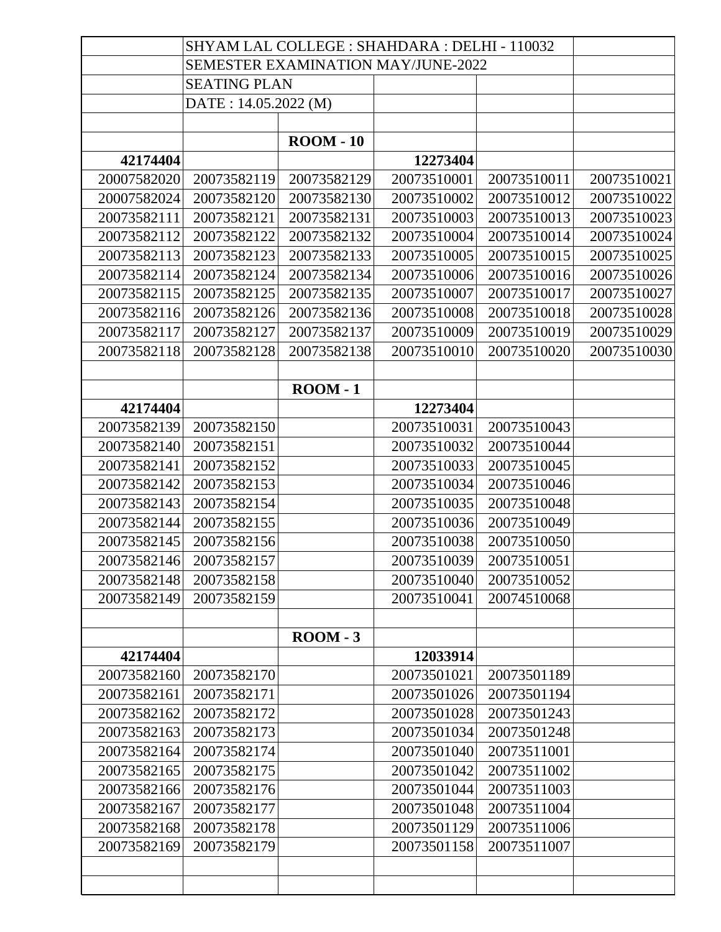|             | <b>SEMESTER EXAMINATION MAY/JUNE-2022</b> |                   |             |                            |             |
|-------------|-------------------------------------------|-------------------|-------------|----------------------------|-------------|
|             | <b>SEATING PLAN</b>                       |                   |             |                            |             |
|             | DATE: 14.05.2022 (M)                      |                   |             |                            |             |
|             |                                           |                   |             |                            |             |
|             |                                           | $\text{ROM} - 10$ |             |                            |             |
| 42174404    |                                           |                   | 12273404    |                            |             |
| 20007582020 | 20073582119                               | 20073582129       | 20073510001 | 20073510011                | 20073510021 |
| 20007582024 | 20073582120                               | 20073582130       | 20073510002 | 20073510012                | 20073510022 |
| 20073582111 | 20073582121                               | 20073582131       | 20073510003 | 20073510013                | 20073510023 |
| 20073582112 | 20073582122                               | 20073582132       | 20073510004 | 20073510014                | 20073510024 |
| 20073582113 | 20073582123                               | 20073582133       | 20073510005 | 20073510015                | 20073510025 |
| 20073582114 | 20073582124                               | 20073582134       | 20073510006 | 20073510016                | 20073510026 |
| 20073582115 | 20073582125                               | 20073582135       | 20073510007 | 20073510017                | 20073510027 |
| 20073582116 | 20073582126                               | 20073582136       | 20073510008 | 20073510018                | 20073510028 |
| 20073582117 | 20073582127                               | 20073582137       | 20073510009 | 20073510019                | 20073510029 |
| 20073582118 | 20073582128                               | 20073582138       | 20073510010 | 20073510020                | 20073510030 |
|             |                                           |                   |             |                            |             |
| 42174404    |                                           | $\text{ROM} - 1$  | 12273404    |                            |             |
| 20073582139 |                                           |                   | 20073510031 |                            |             |
| 20073582140 | 20073582150<br>20073582151                |                   | 20073510032 | 20073510043<br>20073510044 |             |
| 20073582141 | 20073582152                               |                   | 20073510033 | 20073510045                |             |
| 20073582142 | 20073582153                               |                   | 20073510034 | 20073510046                |             |
| 20073582143 | 20073582154                               |                   | 20073510035 | 20073510048                |             |
| 20073582144 | 20073582155                               |                   | 20073510036 | 20073510049                |             |
| 20073582145 | 20073582156                               |                   | 20073510038 | 20073510050                |             |
| 20073582146 | 20073582157                               |                   | 20073510039 | 20073510051                |             |
| 20073582148 | 20073582158                               |                   | 20073510040 | 20073510052                |             |
| 20073582149 | 20073582159                               |                   | 20073510041 | 20074510068                |             |
|             |                                           |                   |             |                            |             |
| 42174404    |                                           | $\text{ROM} - 3$  | 12033914    |                            |             |
| 20073582160 | 20073582170                               |                   | 20073501021 | 20073501189                |             |
| 20073582161 | 20073582171                               |                   | 20073501026 | 20073501194                |             |
| 20073582162 | 20073582172                               |                   | 20073501028 | 20073501243                |             |
| 20073582163 | 20073582173                               |                   | 20073501034 | 20073501248                |             |
| 20073582164 | 20073582174                               |                   | 20073501040 | 20073511001                |             |
| 20073582165 | 20073582175                               |                   | 20073501042 | 20073511002                |             |
| 20073582166 | 20073582176                               |                   | 20073501044 | 20073511003                |             |
| 20073582167 | 20073582177                               |                   | 20073501048 | 20073511004                |             |
| 20073582168 | 20073582178                               |                   | 20073501129 | 20073511006                |             |
| 20073582169 | 20073582179                               |                   | 20073501158 | 20073511007                |             |
|             |                                           |                   |             |                            |             |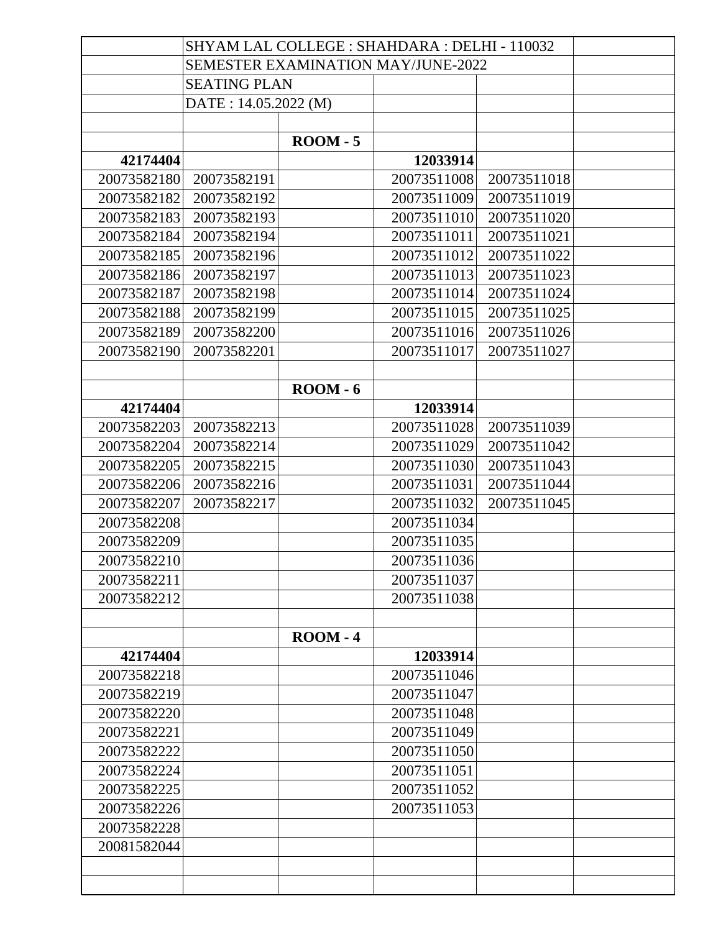|             | SEMESTER EXAMINATION MAY/JUNE-2022 |                  |             |             |  |
|-------------|------------------------------------|------------------|-------------|-------------|--|
|             | <b>SEATING PLAN</b>                |                  |             |             |  |
|             | DATE: 14.05.2022 (M)               |                  |             |             |  |
|             |                                    |                  |             |             |  |
|             |                                    | $\text{ROM} - 5$ |             |             |  |
| 42174404    |                                    |                  | 12033914    |             |  |
| 20073582180 | 20073582191                        |                  | 20073511008 | 20073511018 |  |
| 20073582182 | 20073582192                        |                  | 20073511009 | 20073511019 |  |
| 20073582183 | 20073582193                        |                  | 20073511010 | 20073511020 |  |
| 20073582184 | 20073582194                        |                  | 20073511011 | 20073511021 |  |
| 20073582185 | 20073582196                        |                  | 20073511012 | 20073511022 |  |
| 20073582186 | 20073582197                        |                  | 20073511013 | 20073511023 |  |
| 20073582187 | 20073582198                        |                  | 20073511014 | 20073511024 |  |
| 20073582188 | 20073582199                        |                  | 20073511015 | 20073511025 |  |
| 20073582189 | 20073582200                        |                  | 20073511016 | 20073511026 |  |
| 20073582190 | 20073582201                        |                  | 20073511017 | 20073511027 |  |
|             |                                    |                  |             |             |  |
|             |                                    | $\text{ROM} - 6$ |             |             |  |
| 42174404    |                                    |                  | 12033914    |             |  |
| 20073582203 | 20073582213                        |                  | 20073511028 | 20073511039 |  |
| 20073582204 | 20073582214                        |                  | 20073511029 | 20073511042 |  |
| 20073582205 | 20073582215                        |                  | 20073511030 | 20073511043 |  |
| 20073582206 | 20073582216                        |                  | 20073511031 | 20073511044 |  |
| 20073582207 | 20073582217                        |                  | 20073511032 | 20073511045 |  |
| 20073582208 |                                    |                  | 20073511034 |             |  |
| 20073582209 |                                    |                  | 20073511035 |             |  |
| 20073582210 |                                    |                  | 20073511036 |             |  |
| 20073582211 |                                    |                  | 20073511037 |             |  |
| 20073582212 |                                    |                  | 20073511038 |             |  |
|             |                                    |                  |             |             |  |
|             |                                    | $\text{ROM} - 4$ |             |             |  |
| 42174404    |                                    |                  | 12033914    |             |  |
| 20073582218 |                                    |                  | 20073511046 |             |  |
| 20073582219 |                                    |                  | 20073511047 |             |  |
| 20073582220 |                                    |                  | 20073511048 |             |  |
| 20073582221 |                                    |                  | 20073511049 |             |  |
| 20073582222 |                                    |                  | 20073511050 |             |  |
| 20073582224 |                                    |                  | 20073511051 |             |  |
| 20073582225 |                                    |                  | 20073511052 |             |  |
| 20073582226 |                                    |                  | 20073511053 |             |  |
| 20073582228 |                                    |                  |             |             |  |
| 20081582044 |                                    |                  |             |             |  |
|             |                                    |                  |             |             |  |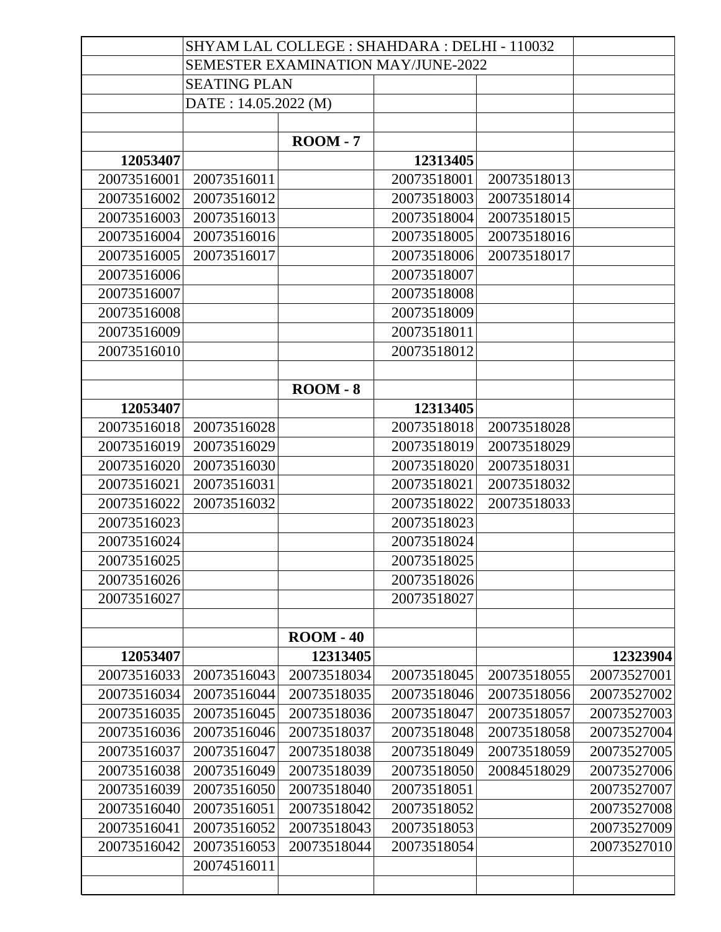|             | <b>SEATING PLAN</b>  |                   |             |             |             |
|-------------|----------------------|-------------------|-------------|-------------|-------------|
|             | DATE: 14.05.2022 (M) |                   |             |             |             |
|             |                      |                   |             |             |             |
|             |                      | $\text{ROM} - 7$  |             |             |             |
| 12053407    |                      |                   | 12313405    |             |             |
| 20073516001 | 20073516011          |                   | 20073518001 | 20073518013 |             |
| 20073516002 | 20073516012          |                   | 20073518003 | 20073518014 |             |
| 20073516003 | 20073516013          |                   | 20073518004 | 20073518015 |             |
| 20073516004 | 20073516016          |                   | 20073518005 | 20073518016 |             |
| 20073516005 | 20073516017          |                   | 20073518006 | 20073518017 |             |
| 20073516006 |                      |                   | 20073518007 |             |             |
| 20073516007 |                      |                   | 20073518008 |             |             |
| 20073516008 |                      |                   | 20073518009 |             |             |
| 20073516009 |                      |                   | 20073518011 |             |             |
| 20073516010 |                      |                   | 20073518012 |             |             |
|             |                      | $\text{ROM} - 8$  |             |             |             |
| 12053407    |                      |                   | 12313405    |             |             |
| 20073516018 | 20073516028          |                   | 20073518018 | 20073518028 |             |
| 20073516019 | 20073516029          |                   | 20073518019 | 20073518029 |             |
| 20073516020 | 20073516030          |                   | 20073518020 | 20073518031 |             |
| 20073516021 | 20073516031          |                   | 20073518021 | 20073518032 |             |
| 20073516022 | 20073516032          |                   | 20073518022 | 20073518033 |             |
| 20073516023 |                      |                   | 20073518023 |             |             |
| 20073516024 |                      |                   | 20073518024 |             |             |
| 20073516025 |                      |                   | 20073518025 |             |             |
| 20073516026 |                      |                   | 20073518026 |             |             |
| 20073516027 |                      |                   | 20073518027 |             |             |
|             |                      | $\text{ROM} - 40$ |             |             |             |
| 12053407    |                      | 12313405          |             |             | 12323904    |
| 20073516033 | 20073516043          | 20073518034       | 20073518045 | 20073518055 | 20073527001 |
| 20073516034 | 20073516044          | 20073518035       | 20073518046 | 20073518056 | 20073527002 |
| 20073516035 | 20073516045          | 20073518036       | 20073518047 | 20073518057 | 20073527003 |
| 20073516036 | 20073516046          | 20073518037       | 20073518048 | 20073518058 | 20073527004 |
| 20073516037 | 20073516047          | 20073518038       | 20073518049 | 20073518059 | 20073527005 |
| 20073516038 | 20073516049          | 20073518039       | 20073518050 | 20084518029 | 20073527006 |
| 20073516039 | 20073516050          | 20073518040       | 20073518051 |             | 20073527007 |
| 20073516040 | 20073516051          | 20073518042       | 20073518052 |             | 20073527008 |
| 20073516041 | 20073516052          | 20073518043       | 20073518053 |             | 20073527009 |
| 20073516042 | 20073516053          | 20073518044       | 20073518054 |             | 20073527010 |
|             | 20074516011          |                   |             |             |             |